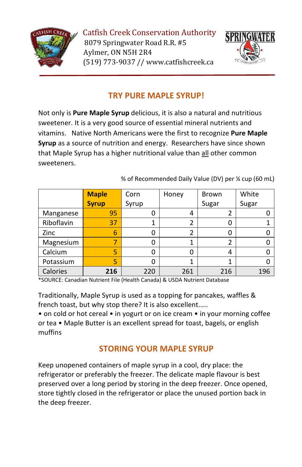

Catfish Creek Conservation Authority 8079 Springwater Road R.R. #5 Aylmer, ON N5H 2R4 (519) 773-9037 // www.catfishcreek.ca



### **TRY PURE MAPLE SYRUP!**

Not only is **Pure Maple Syrup** delicious, it is also a natural and nutritious sweetener. It is a very good source of essential mineral nutrients and vitamins. Native North Americans were the first to recognize **Pure Maple Syrup** as a source of nutrition and energy. Researchers have since shown that Maple Syrup has a higher nutritional value than all other common sweeteners.

% of Recommended Daily Value (DV) per ¼ cup (60 mL)

|            | <b>Maple</b> | Corn  | Honey | <b>Brown</b> | White |
|------------|--------------|-------|-------|--------------|-------|
|            | <b>Syrup</b> | Syrup |       | Sugar        | Sugar |
| Manganese  | 95           | 0     | 4     |              |       |
| Riboflavin | 37           |       |       | Ω            |       |
| Zinc       | 6            | 0     |       |              |       |
| Magnesium  |              | 0     | 1     |              |       |
| Calcium    | 5            | 0     |       | 4            |       |
| Potassium  | 5            | 0     |       |              |       |
| Calories   | 216          | 220   | 261   | 216          | 196   |

\*SOURCE: Canadian Nutrient File (Health Canada) & USDA Nutrient Database

Traditionally, Maple Syrup is used as a topping for pancakes, waffles & french toast, but why stop there? It is also excellent.....

• on cold or hot cereal • in yogurt or on ice cream • in your morning coffee or tea • Maple Butter is an excellent spread for toast, bagels, or english muffins

### **STORING YOUR MAPLE SYRUP**

Keep unopened containers of maple syrup in a cool, dry place: the refrigerator or preferably the freezer. The delicate maple flavour is best preserved over a long period by storing in the deep freezer. Once opened, store tightly closed in the refrigerator or place the unused portion back in the deep freezer.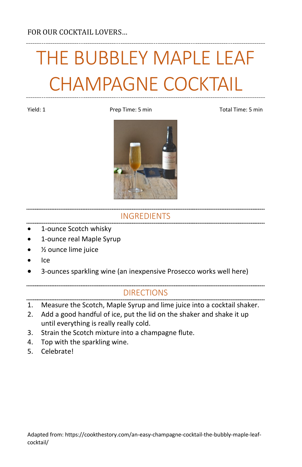# THE BUBBLEY MAPLE LEAF CHAMPAGNE COCKTAIL

Yield: 1 **Prep Time: 5 min** Prep Time: 5 min Total Time: 5 min



### INGREDIENTS

- 1-ounce Scotch whisky
- 1-ounce real Maple Syrup
- ½ ounce lime juice
- Ice
- 3-ounces sparkling wine (an inexpensive Prosecco works well here)

- 1. Measure the Scotch, Maple Syrup and lime juice into a cocktail shaker.
- 2. Add a good handful of ice, put the lid on the shaker and shake it up until everything is really really cold.
- 3. Strain the Scotch mixture into a champagne flute.
- 4. Top with the sparkling wine.
- 5. Celebrate!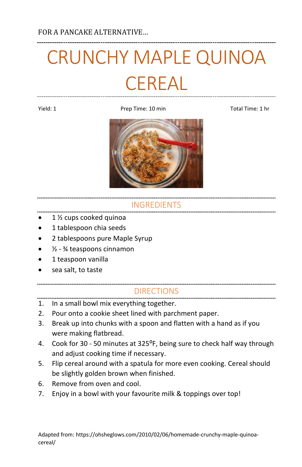# CRUNCHY MAPLE QUINOA **CEREAL**

Yield: 1 Prep Time: 10 min Total Time: 1 hr



### INGREDIENTS

- 1 <sup>1</sup>/<sub>2</sub> cups cooked quinoa
- 1 tablespoon chia seeds
- 2 tablespoons pure Maple Syrup
- ½ ¾ teaspoons cinnamon
- 1 teaspoon vanilla
- sea salt, to taste

- 1. In a small bowl mix everything together.
- 2. Pour onto a cookie sheet lined with parchment paper.
- 3. Break up into chunks with a spoon and flatten with a hand as if you were making flatbread.
- 4. Cook for 30 50 minutes at 325<sup>o</sup>F, being sure to check half way through and adjust cooking time if necessary.
- 5. Flip cereal around with a spatula for more even cooking. Cereal should be slightly golden brown when finished.
- 6. Remove from oven and cool.
- 7. Enjoy in a bowl with your favourite milk & toppings over top!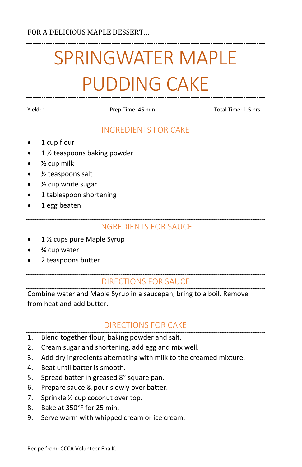# SPRINGWATER MAPLE PUDDING CAKE

|   | I |  |
|---|---|--|
| × |   |  |

Prep Time: 45 min Total Time: 1.5 hrs

### INGREDIENTS FOR CAKE

- 1 cup flour
- 1 1/2 teaspoons baking powder
- $\bullet$  % cup milk
- 1/<sub>2</sub> teaspoons salt
- 1/<sub>2</sub> cup white sugar
- 1 tablespoon shortening
- 1 egg beaten

### INGREDIENTS FOR SAUCE

- 1 ½ cups pure Maple Syrup
- <sup>3</sup>⁄4 cup water
- 2 teaspoons butter

### DIRECTIONS FOR SAUCE

Combine water and Maple Syrup in a saucepan, bring to a boil. Remove from heat and add butter.

### DIRECTIONS FOR CAKE

- 1. Blend together flour, baking powder and salt.
- 2. Cream sugar and shortening, add egg and mix well.
- 3. Add dry ingredients alternating with milk to the creamed mixture.
- 4. Beat until batter is smooth.
- 5. Spread batter in greased 8" square pan.
- 6. Prepare sauce & pour slowly over batter.
- 7. Sprinkle ½ cup coconut over top.
- 8. Bake at 350°F for 25 min.
- 9. Serve warm with whipped cream or ice cream.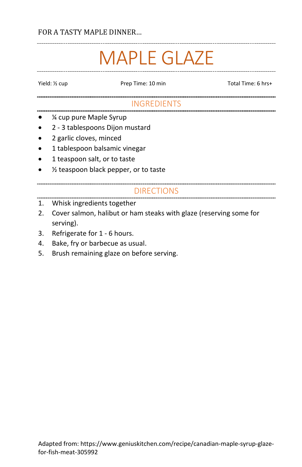### FOR A TASTY MAPLE DINNER…

### MAPLE GLAZE

Yield: <sup>y</sup><sub>cup</sub> Prep Time: 10 min Total Time: 6 hrs+

### INGREDIENTS

- ¼ cup pure Maple Syrup
- 2 3 tablespoons Dijon mustard
- 2 garlic cloves, minced
- 1 tablespoon balsamic vinegar
- 1 teaspoon salt, or to taste
- ½ teaspoon black pepper, or to taste

### DIRECTIONS

### 1. Whisk ingredients together

- 2. Cover salmon, halibut or ham steaks with glaze (reserving some for serving).
- 3. Refrigerate for 1 6 hours.
- 4. Bake, fry or barbecue as usual.
- 5. Brush remaining glaze on before serving.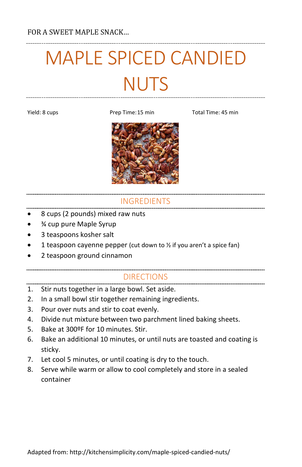# MAPLE SPICED CANDIED **NUTS**

Yield: 8 cups Time: 15 min Total Time: 45 min



### INGREDIENTS

- 8 cups (2 pounds) mixed raw nuts
- ¾ cup pure Maple Syrup
- 3 teaspoons kosher salt
- 1 teaspoon cayenne pepper (cut down to  $\frac{1}{2}$  if you aren't a spice fan)
- 2 teaspoon ground cinnamon

- 1. Stir nuts together in a large bowl. Set aside.
- 2. In a small bowl stir together remaining ingredients.
- 3. Pour over nuts and stir to coat evenly.
- 4. Divide nut mixture between two parchment lined baking sheets.
- 5. Bake at 300ºF for 10 minutes. Stir.
- 6. Bake an additional 10 minutes, or until nuts are toasted and coating is sticky.
- 7. Let cool 5 minutes, or until coating is dry to the touch.
- 8. Serve while warm or allow to cool completely and store in a sealed container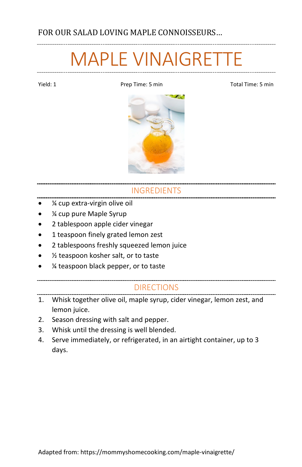## MAPLE VINAIGRETTE

Yield: 1 **Prep Time: 5 min** Prep Time: 5 min Total Time: 5 min



### INGREDIENTS

- ¼ cup extra-virgin olive oil
- ¼ cup pure Maple Syrup
- 2 tablespoon apple cider vinegar
- 1 teaspoon finely grated lemon zest
- 2 tablespoons freshly squeezed lemon juice
- 1/<sub>2</sub> teaspoon kosher salt, or to taste
- ¼ teaspoon black pepper, or to taste

- 1. Whisk together olive oil, maple syrup, cider vinegar, lemon zest, and lemon juice.
- 2. Season dressing with salt and pepper.
- 3. Whisk until the dressing is well blended.
- 4. Serve immediately, or refrigerated, in an airtight container, up to 3 days.